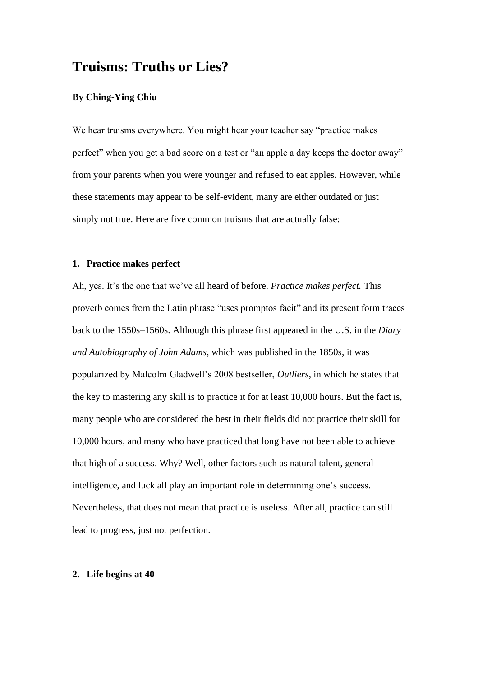# **Truisms: Truths or Lies?**

## **By Ching-Ying Chiu**

We hear truisms everywhere. You might hear your teacher say "practice makes perfect" when you get a bad score on a test or "an apple a day keeps the doctor away" from your parents when you were younger and refused to eat apples. However, while these statements may appear to be self-evident, many are either outdated or just simply not true. Here are five common truisms that are actually false:

### **1. Practice makes perfect**

Ah, yes. It's the one that we've all heard of before. *Practice makes perfect.* This proverb comes from the Latin phrase "uses promptos facit" and its present form traces back to the 1550s–1560s. Although this phrase first appeared in the U.S. in the *Diary and Autobiography of John Adams*, which was published in the 1850s, it was popularized by Malcolm Gladwell's 2008 bestseller, *Outliers*, in which he states that the key to mastering any skill is to practice it for at least 10,000 hours. But the fact is, many people who are considered the best in their fields did not practice their skill for 10,000 hours, and many who have practiced that long have not been able to achieve that high of a success. Why? Well, other factors such as natural talent, general intelligence, and luck all play an important role in determining one's success. Nevertheless, that does not mean that practice is useless. After all, practice can still lead to progress, just not perfection.

#### **2. Life begins at 40**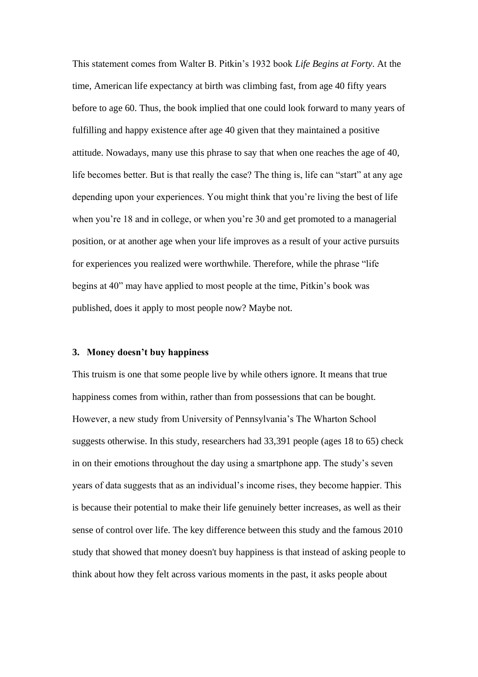This statement comes from Walter B. Pitkin's 1932 book *Life Begins at Forty*. At the time, American life expectancy at birth was climbing fast, from age 40 fifty years before to age 60. Thus, the book implied that one could look forward to many years of fulfilling and happy existence after age 40 given that they maintained a positive attitude. Nowadays, many use this phrase to say that when one reaches the age of 40, life becomes better. But is that really the case? The thing is, life can "start" at any age depending upon your experiences. You might think that you're living the best of life when you're 18 and in college, or when you're 30 and get promoted to a managerial position, or at another age when your life improves as a result of your active pursuits for experiences you realized were worthwhile. Therefore, while the phrase "life begins at 40" may have applied to most people at the time, Pitkin's book was published, does it apply to most people now? Maybe not.

#### **3. Money doesn't buy happiness**

This truism is one that some people live by while others ignore. It means that true happiness comes from within, rather than from possessions that can be bought. However, a new study from University of Pennsylvania's The Wharton School suggests otherwise. In this study, researchers had 33,391 people (ages 18 to 65) check in on their emotions throughout the day using a smartphone app. The study's seven years of data suggests that as an individual's income rises, they become happier. This is because their potential to make their life genuinely better increases, as well as their sense of control over life. The key difference between this study and the famous 2010 study that showed that money doesn't buy happiness is that instead of asking people to think about how they felt across various moments in the past, it asks people about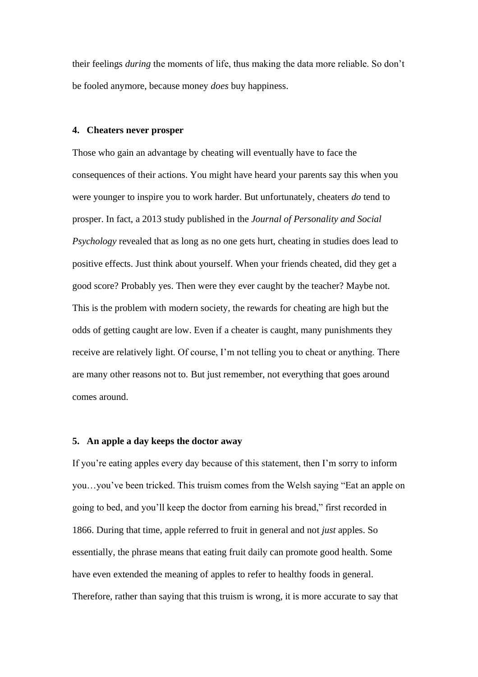their feelings *during* the moments of life, thus making the data more reliable. So don't be fooled anymore, because money *does* buy happiness.

#### **4. Cheaters never prosper**

Those who gain an advantage by cheating will eventually have to face the consequences of their actions. You might have heard your parents say this when you were younger to inspire you to work harder. But unfortunately, cheaters *do* tend to prosper. In fact, a 2013 study published in the *Journal of Personality and Social Psychology* revealed that as long as no one gets hurt, cheating in studies does lead to positive effects. Just think about yourself. When your friends cheated, did they get a good score? Probably yes. Then were they ever caught by the teacher? Maybe not. This is the problem with modern society, the rewards for cheating are high but the odds of getting caught are low. Even if a cheater is caught, many punishments they receive are relatively light. Of course, I'm not telling you to cheat or anything. There are many other reasons not to. But just remember, not everything that goes around comes around.

#### **5. An apple a day keeps the doctor away**

If you're eating apples every day because of this statement, then I'm sorry to inform you…you've been tricked. This truism comes from the Welsh saying "Eat an apple on going to bed, and you'll keep the doctor from earning his bread," first recorded in 1866. During that time, apple referred to fruit in general and not *just* apples. So essentially, the phrase means that eating fruit daily can promote good health. Some have even extended the meaning of apples to refer to healthy foods in general. Therefore, rather than saying that this truism is wrong, it is more accurate to say that